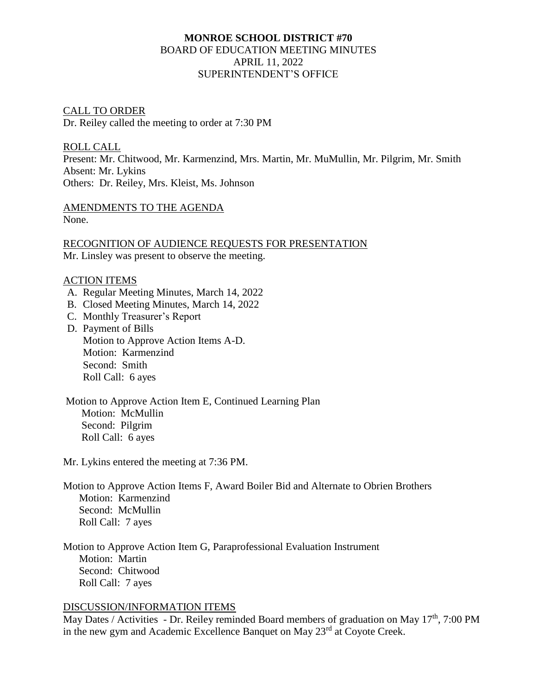# **MONROE SCHOOL DISTRICT #70** BOARD OF EDUCATION MEETING MINUTES APRIL 11, 2022 SUPERINTENDENT'S OFFICE

## CALL TO ORDER

Dr. Reiley called the meeting to order at 7:30 PM

ROLL CALL Present: Mr. Chitwood, Mr. Karmenzind, Mrs. Martin, Mr. MuMullin, Mr. Pilgrim, Mr. Smith Absent: Mr. Lykins Others: Dr. Reiley, Mrs. Kleist, Ms. Johnson

AMENDMENTS TO THE AGENDA None.

RECOGNITION OF AUDIENCE REQUESTS FOR PRESENTATION Mr. Linsley was present to observe the meeting.

#### ACTION ITEMS

- A. Regular Meeting Minutes, March 14, 2022
- B. Closed Meeting Minutes, March 14, 2022
- C. Monthly Treasurer's Report
- D. Payment of Bills Motion to Approve Action Items A-D. Motion: Karmenzind Second: Smith Roll Call: 6 ayes
- Motion to Approve Action Item E, Continued Learning Plan Motion: McMullin Second: Pilgrim Roll Call: 6 ayes

Mr. Lykins entered the meeting at 7:36 PM.

- Motion to Approve Action Items F, Award Boiler Bid and Alternate to Obrien Brothers Motion: Karmenzind Second: McMullin Roll Call: 7 ayes
- Motion to Approve Action Item G, Paraprofessional Evaluation Instrument Motion: Martin Second: Chitwood Roll Call: 7 ayes

## DISCUSSION/INFORMATION ITEMS

May Dates / Activities - Dr. Reiley reminded Board members of graduation on May  $17<sup>th</sup>$ , 7:00 PM in the new gym and Academic Excellence Banquet on May 23<sup>rd</sup> at Coyote Creek.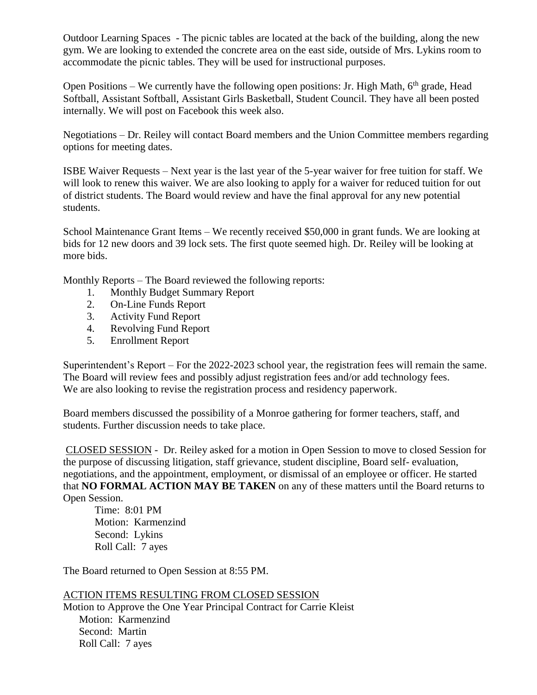Outdoor Learning Spaces - The picnic tables are located at the back of the building, along the new gym. We are looking to extended the concrete area on the east side, outside of Mrs. Lykins room to accommodate the picnic tables. They will be used for instructional purposes.

Open Positions – We currently have the following open positions: Jr. High Math,  $6<sup>th</sup>$  grade, Head Softball, Assistant Softball, Assistant Girls Basketball, Student Council. They have all been posted internally. We will post on Facebook this week also.

Negotiations – Dr. Reiley will contact Board members and the Union Committee members regarding options for meeting dates.

ISBE Waiver Requests – Next year is the last year of the 5-year waiver for free tuition for staff. We will look to renew this waiver. We are also looking to apply for a waiver for reduced tuition for out of district students. The Board would review and have the final approval for any new potential students.

School Maintenance Grant Items – We recently received \$50,000 in grant funds. We are looking at bids for 12 new doors and 39 lock sets. The first quote seemed high. Dr. Reiley will be looking at more bids.

Monthly Reports – The Board reviewed the following reports:

- 1. Monthly Budget Summary Report
- 2. On-Line Funds Report
- 3. Activity Fund Report
- 4. Revolving Fund Report
- 5. Enrollment Report

Superintendent's Report – For the 2022-2023 school year, the registration fees will remain the same. The Board will review fees and possibly adjust registration fees and/or add technology fees. We are also looking to revise the registration process and residency paperwork.

Board members discussed the possibility of a Monroe gathering for former teachers, staff, and students. Further discussion needs to take place.

CLOSED SESSION - Dr. Reiley asked for a motion in Open Session to move to closed Session for the purpose of discussing litigation, staff grievance, student discipline, Board self- evaluation, negotiations, and the appointment, employment, or dismissal of an employee or officer. He started that **NO FORMAL ACTION MAY BE TAKEN** on any of these matters until the Board returns to Open Session.

 Time: 8:01 PM Motion: Karmenzind Second: Lykins Roll Call: 7 ayes

The Board returned to Open Session at 8:55 PM.

## ACTION ITEMS RESULTING FROM CLOSED SESSION

Motion to Approve the One Year Principal Contract for Carrie Kleist Motion: Karmenzind Second: Martin Roll Call: 7 ayes